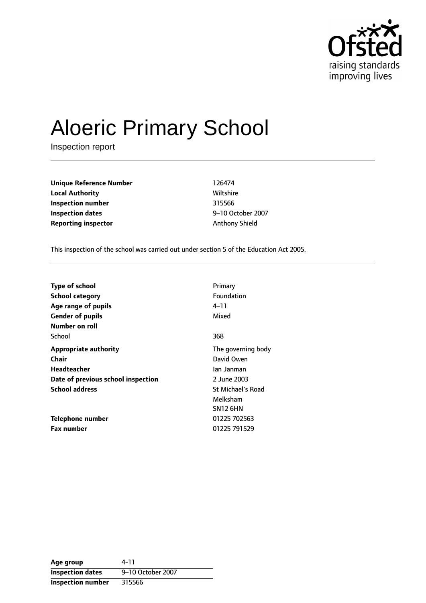

# Aloeric Primary School

Inspection report

**Unique Reference Number** 126474 **Local Authority Miltshire** Wiltshire **Inspection number** 315566 **Inspection dates 1011 PM 102 October 2007 Reporting inspector Anthony Shield** 

This inspection of the school was carried out under section 5 of the Education Act 2005.

| <b>Type of school</b>              | Primary                  |
|------------------------------------|--------------------------|
| <b>School category</b>             | Foundation               |
| Age range of pupils                | 4–11                     |
| <b>Gender of pupils</b>            | Mixed                    |
| Number on roll                     |                          |
| School                             | 368                      |
| <b>Appropriate authority</b>       | The governing body       |
| Chair                              | David Owen               |
| <b>Headteacher</b>                 | lan Janman               |
| Date of previous school inspection | 2 June 2003              |
| <b>School address</b>              | <b>St Michael's Road</b> |
|                                    | Melksham                 |
|                                    | SN12 6HN                 |
| Telephone number                   | 01225 702563             |
| <b>Fax number</b>                  | 01225 791529             |

| Age group                | 4-11              |
|--------------------------|-------------------|
| <b>Inspection dates</b>  | 9-10 October 2007 |
| <b>Inspection number</b> | 315566            |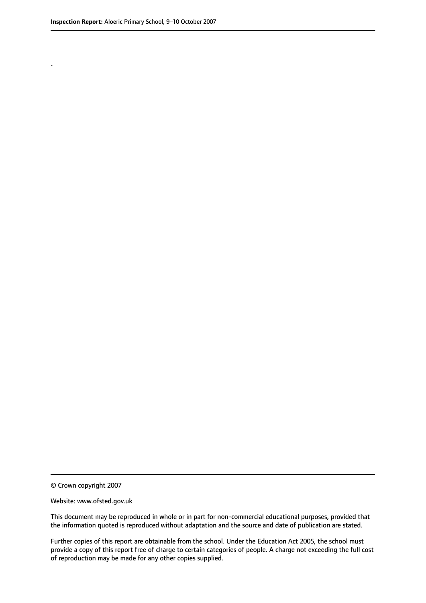.

© Crown copyright 2007

#### Website: www.ofsted.gov.uk

This document may be reproduced in whole or in part for non-commercial educational purposes, provided that the information quoted is reproduced without adaptation and the source and date of publication are stated.

Further copies of this report are obtainable from the school. Under the Education Act 2005, the school must provide a copy of this report free of charge to certain categories of people. A charge not exceeding the full cost of reproduction may be made for any other copies supplied.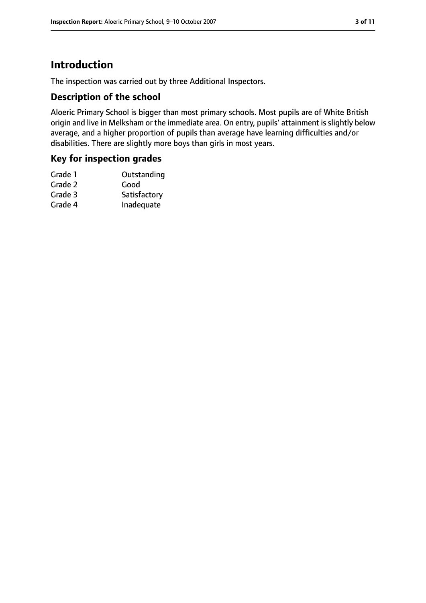# **Introduction**

The inspection was carried out by three Additional Inspectors.

#### **Description of the school**

Aloeric Primary School is bigger than most primary schools. Most pupils are of White British origin and live in Melksham or the immediate area. On entry, pupils' attainment is slightly below average, and a higher proportion of pupils than average have learning difficulties and/or disabilities. There are slightly more boys than girls in most years.

#### **Key for inspection grades**

| Outstanding  |
|--------------|
| Good         |
| Satisfactory |
| Inadequate   |
|              |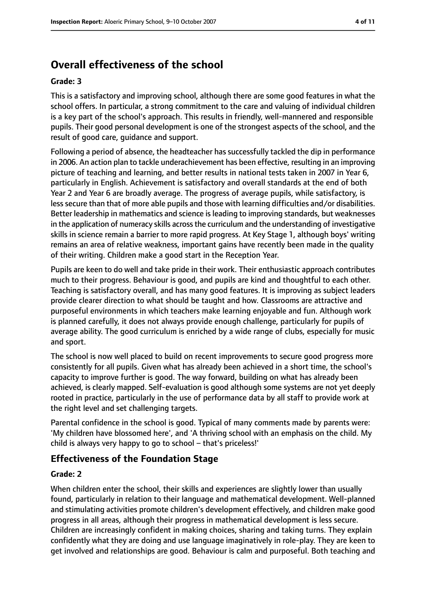# **Overall effectiveness of the school**

#### **Grade: 3**

This is a satisfactory and improving school, although there are some good features in what the school offers. In particular, a strong commitment to the care and valuing of individual children is a key part of the school's approach. This results in friendly, well-mannered and responsible pupils. Their good personal development is one of the strongest aspects of the school, and the result of good care, guidance and support.

Following a period of absence, the headteacher has successfully tackled the dip in performance in 2006. An action plan to tackle underachievement has been effective, resulting in an improving picture of teaching and learning, and better results in national tests taken in 2007 in Year 6, particularly in English. Achievement is satisfactory and overall standards at the end of both Year 2 and Year 6 are broadly average. The progress of average pupils, while satisfactory, is less secure than that of more able pupils and those with learning difficulties and/or disabilities. Better leadership in mathematics and science isleading to improving standards, but weaknesses in the application of numeracy skills acrossthe curriculum and the understanding of investigative skills in science remain a barrier to more rapid progress. At Key Stage 1, although boys' writing remains an area of relative weakness, important gains have recently been made in the quality of their writing. Children make a good start in the Reception Year.

Pupils are keen to do well and take pride in their work. Their enthusiastic approach contributes much to their progress. Behaviour is good, and pupils are kind and thoughtful to each other. Teaching is satisfactory overall, and has many good features. It is improving as subject leaders provide clearer direction to what should be taught and how. Classrooms are attractive and purposeful environments in which teachers make learning enjoyable and fun. Although work is planned carefully, it does not always provide enough challenge, particularly for pupils of average ability. The good curriculum is enriched by a wide range of clubs, especially for music and sport.

The school is now well placed to build on recent improvements to secure good progress more consistently for all pupils. Given what has already been achieved in a short time, the school's capacity to improve further is good. The way forward, building on what has already been achieved, is clearly mapped. Self-evaluation is good although some systems are not yet deeply rooted in practice, particularly in the use of performance data by all staff to provide work at the right level and set challenging targets.

Parental confidence in the school is good. Typical of many comments made by parents were: 'My children have blossomed here', and 'A thriving school with an emphasis on the child. My child is always very happy to go to school  $-$  that's priceless!'

#### **Effectiveness of the Foundation Stage**

#### **Grade: 2**

When children enter the school, their skills and experiences are slightly lower than usually found, particularly in relation to their language and mathematical development. Well-planned and stimulating activities promote children's development effectively, and children make good progress in all areas, although their progress in mathematical development is less secure. Children are increasingly confident in making choices, sharing and taking turns. They explain confidently what they are doing and use language imaginatively in role-play. They are keen to get involved and relationships are good. Behaviour is calm and purposeful. Both teaching and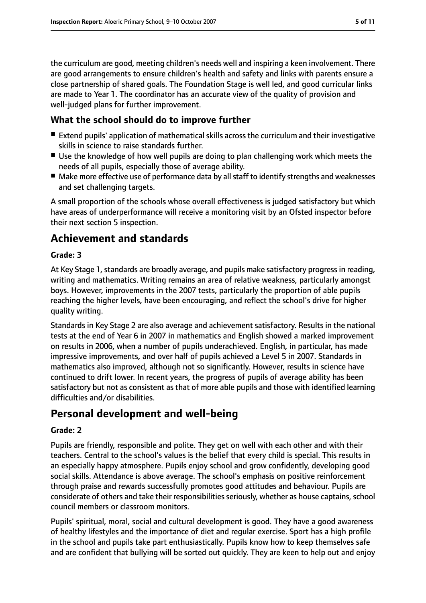the curriculum are good, meeting children's needs well and inspiring a keen involvement. There are good arrangements to ensure children's health and safety and links with parents ensure a close partnership of shared goals. The Foundation Stage is well led, and good curricular links are made to Year 1. The coordinator has an accurate view of the quality of provision and well-judged plans for further improvement.

# **What the school should do to improve further**

- Extend pupils' application of mathematical skills across the curriculum and their investigative skills in science to raise standards further.
- Use the knowledge of how well pupils are doing to plan challenging work which meets the needs of all pupils, especially those of average ability.
- Make more effective use of performance data by all staff to identify strengths and weaknesses and set challenging targets.

A small proportion of the schools whose overall effectiveness is judged satisfactory but which have areas of underperformance will receive a monitoring visit by an Ofsted inspector before their next section 5 inspection.

# **Achievement and standards**

#### **Grade: 3**

At Key Stage 1, standards are broadly average, and pupils make satisfactory progress in reading, writing and mathematics. Writing remains an area of relative weakness, particularly amongst boys. However, improvements in the 2007 tests, particularly the proportion of able pupils reaching the higher levels, have been encouraging, and reflect the school's drive for higher quality writing.

Standards in Key Stage 2 are also average and achievement satisfactory. Results in the national tests at the end of Year 6 in 2007 in mathematics and English showed a marked improvement on results in 2006, when a number of pupils underachieved. English, in particular, has made impressive improvements, and over half of pupils achieved a Level 5 in 2007. Standards in mathematics also improved, although not so significantly. However, results in science have continued to drift lower. In recent years, the progress of pupils of average ability has been satisfactory but not as consistent as that of more able pupils and those with identified learning difficulties and/or disabilities.

# **Personal development and well-being**

#### **Grade: 2**

Pupils are friendly, responsible and polite. They get on well with each other and with their teachers. Central to the school's values is the belief that every child is special. This results in an especially happy atmosphere. Pupils enjoy school and grow confidently, developing good social skills. Attendance is above average. The school's emphasis on positive reinforcement through praise and rewards successfully promotes good attitudes and behaviour. Pupils are considerate of others and take their responsibilities seriously, whether as house captains, school council members or classroom monitors.

Pupils' spiritual, moral, social and cultural development is good. They have a good awareness of healthy lifestyles and the importance of diet and regular exercise. Sport has a high profile in the school and pupils take part enthusiastically. Pupils know how to keep themselves safe and are confident that bullying will be sorted out quickly. They are keen to help out and enjoy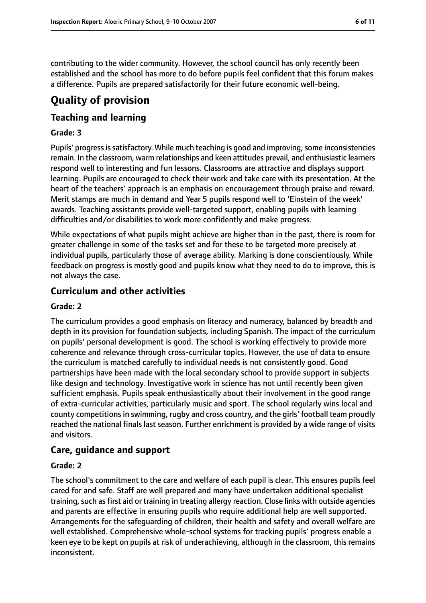contributing to the wider community. However, the school council has only recently been established and the school has more to do before pupils feel confident that this forum makes a difference. Pupils are prepared satisfactorily for their future economic well-being.

# **Quality of provision**

## **Teaching and learning**

#### **Grade: 3**

Pupils' progress is satisfactory. While much teaching is good and improving, some inconsistencies remain. In the classroom, warm relationships and keen attitudes prevail, and enthusiastic learners respond well to interesting and fun lessons. Classrooms are attractive and displays support learning. Pupils are encouraged to check their work and take care with its presentation. At the heart of the teachers' approach is an emphasis on encouragement through praise and reward. Merit stamps are much in demand and Year 5 pupils respond well to 'Einstein of the week' awards. Teaching assistants provide well-targeted support, enabling pupils with learning difficulties and/or disabilities to work more confidently and make progress.

While expectations of what pupils might achieve are higher than in the past, there is room for greater challenge in some of the tasks set and for these to be targeted more precisely at individual pupils, particularly those of average ability. Marking is done conscientiously. While feedback on progress is mostly good and pupils know what they need to do to improve, this is not always the case.

## **Curriculum and other activities**

#### **Grade: 2**

The curriculum provides a good emphasis on literacy and numeracy, balanced by breadth and depth in its provision for foundation subjects, including Spanish. The impact of the curriculum on pupils' personal development is good. The school is working effectively to provide more coherence and relevance through cross-curricular topics. However, the use of data to ensure the curriculum is matched carefully to individual needs is not consistently good. Good partnerships have been made with the local secondary school to provide support in subjects like design and technology. Investigative work in science has not until recently been given sufficient emphasis. Pupils speak enthusiastically about their involvement in the good range of extra-curricular activities, particularly music and sport. The school regularly wins local and county competitions in swimming, rugby and cross country, and the girls' football team proudly reached the national finals last season. Further enrichment is provided by a wide range of visits and visitors.

#### **Care, guidance and support**

#### **Grade: 2**

The school's commitment to the care and welfare of each pupil is clear. This ensures pupils feel cared for and safe. Staff are well prepared and many have undertaken additional specialist training, such as first aid or training in treating allergy reaction. Close links with outside agencies and parents are effective in ensuring pupils who require additional help are well supported. Arrangements for the safeguarding of children, their health and safety and overall welfare are well established. Comprehensive whole-school systems for tracking pupils' progress enable a keen eye to be kept on pupils at risk of underachieving, although in the classroom, this remains inconsistent.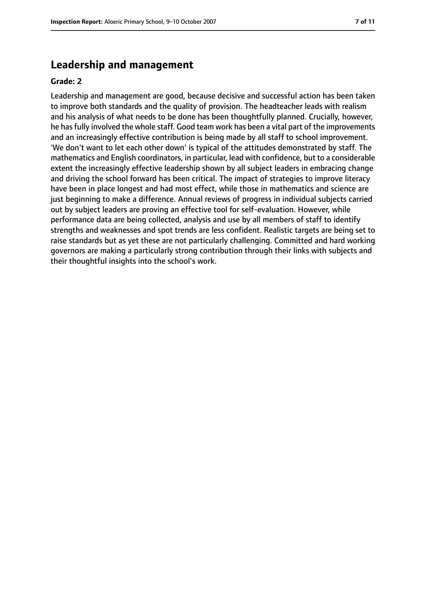## **Leadership and management**

#### **Grade: 2**

Leadership and management are good, because decisive and successful action has been taken to improve both standards and the quality of provision. The headteacher leads with realism and his analysis of what needs to be done has been thoughtfully planned. Crucially, however, he has fully involved the whole staff. Good team work has been a vital part of the improvements and an increasingly effective contribution is being made by all staff to school improvement. 'We don't want to let each other down' is typical of the attitudes demonstrated by staff. The mathematics and English coordinators, in particular, lead with confidence, but to a considerable extent the increasingly effective leadership shown by all subject leaders in embracing change and driving the school forward has been critical. The impact of strategies to improve literacy have been in place longest and had most effect, while those in mathematics and science are just beginning to make a difference. Annual reviews of progress in individual subjects carried out by subject leaders are proving an effective tool for self-evaluation. However, while performance data are being collected, analysis and use by all members of staff to identify strengths and weaknesses and spot trends are less confident. Realistic targets are being set to raise standards but as yet these are not particularly challenging. Committed and hard working governors are making a particularly strong contribution through their links with subjects and their thoughtful insights into the school's work.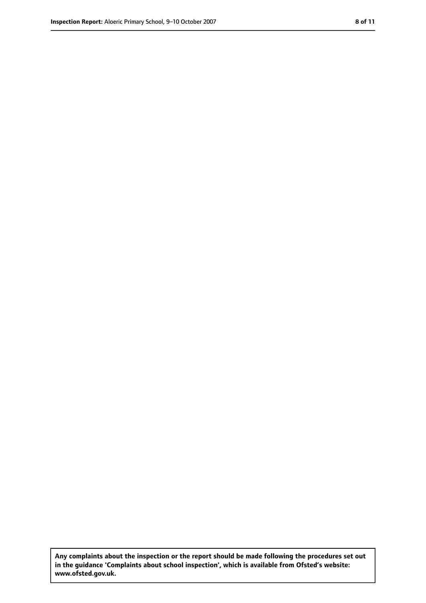**Any complaints about the inspection or the report should be made following the procedures set out in the guidance 'Complaints about school inspection', which is available from Ofsted's website: www.ofsted.gov.uk.**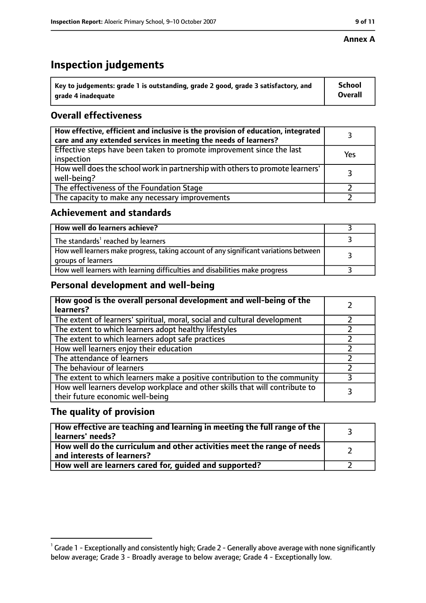#### **Annex A**

# **Inspection judgements**

| $\degree$ Key to judgements: grade 1 is outstanding, grade 2 good, grade 3 satisfactory, and | School         |
|----------------------------------------------------------------------------------------------|----------------|
| arade 4 inadequate                                                                           | <b>Overall</b> |

# **Overall effectiveness**

| How effective, efficient and inclusive is the provision of education, integrated<br>care and any extended services in meeting the needs of learners? |     |
|------------------------------------------------------------------------------------------------------------------------------------------------------|-----|
| Effective steps have been taken to promote improvement since the last<br>inspection                                                                  | Yes |
| How well does the school work in partnership with others to promote learners'<br>well-being?                                                         |     |
| The effectiveness of the Foundation Stage                                                                                                            |     |
| The capacity to make any necessary improvements                                                                                                      |     |

## **Achievement and standards**

| How well do learners achieve?                                                                               |  |
|-------------------------------------------------------------------------------------------------------------|--|
| The standards <sup>1</sup> reached by learners                                                              |  |
| How well learners make progress, taking account of any significant variations between<br>groups of learners |  |
| How well learners with learning difficulties and disabilities make progress                                 |  |

## **Personal development and well-being**

| How good is the overall personal development and well-being of the<br>learners?                                  |  |
|------------------------------------------------------------------------------------------------------------------|--|
| The extent of learners' spiritual, moral, social and cultural development                                        |  |
| The extent to which learners adopt healthy lifestyles                                                            |  |
| The extent to which learners adopt safe practices                                                                |  |
| How well learners enjoy their education                                                                          |  |
| The attendance of learners                                                                                       |  |
| The behaviour of learners                                                                                        |  |
| The extent to which learners make a positive contribution to the community                                       |  |
| How well learners develop workplace and other skills that will contribute to<br>their future economic well-being |  |

## **The quality of provision**

| How effective are teaching and learning in meeting the full range of the<br>learners' needs?          |  |
|-------------------------------------------------------------------------------------------------------|--|
| How well do the curriculum and other activities meet the range of needs<br>and interests of learners? |  |
| How well are learners cared for, quided and supported?                                                |  |

 $^1$  Grade 1 - Exceptionally and consistently high; Grade 2 - Generally above average with none significantly below average; Grade 3 - Broadly average to below average; Grade 4 - Exceptionally low.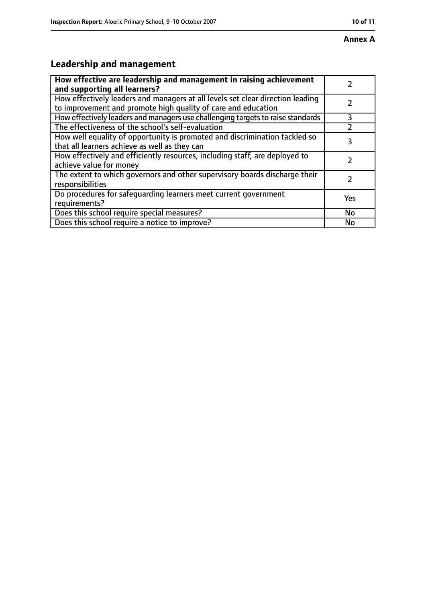# **Annex A**

# **Leadership and management**

| How effective are leadership and management in raising achievement              |     |
|---------------------------------------------------------------------------------|-----|
| and supporting all learners?                                                    |     |
| How effectively leaders and managers at all levels set clear direction leading  |     |
| to improvement and promote high quality of care and education                   |     |
| How effectively leaders and managers use challenging targets to raise standards | 3   |
| The effectiveness of the school's self-evaluation                               |     |
| How well equality of opportunity is promoted and discrimination tackled so      | 3   |
| that all learners achieve as well as they can                                   |     |
| How effectively and efficiently resources, including staff, are deployed to     | 7   |
| achieve value for money                                                         |     |
| The extent to which governors and other supervisory boards discharge their      |     |
| responsibilities                                                                |     |
| Do procedures for safequarding learners meet current government                 | Yes |
| requirements?                                                                   |     |
| Does this school require special measures?                                      | No  |
| Does this school require a notice to improve?                                   | No  |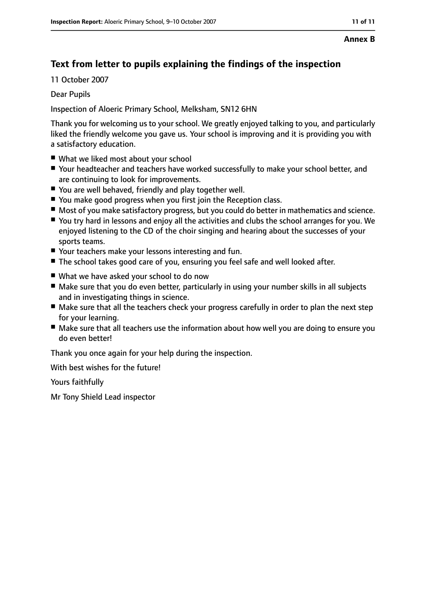# **Text from letter to pupils explaining the findings of the inspection**

11 October 2007

Dear Pupils

Inspection of Aloeric Primary School, Melksham, SN12 6HN

Thank you for welcoming us to your school. We greatly enjoyed talking to you, and particularly liked the friendly welcome you gave us. Your school is improving and it is providing you with a satisfactory education.

- What we liked most about your school
- Your headteacher and teachers have worked successfully to make your school better, and are continuing to look for improvements.
- You are well behaved, friendly and play together well.
- You make good progress when you first join the Reception class.
- Most of you make satisfactory progress, but you could do better in mathematics and science.
- You try hard in lessons and enjoy all the activities and clubs the school arranges for you. We enjoyed listening to the CD of the choir singing and hearing about the successes of your sports teams.
- Your teachers make your lessons interesting and fun.
- The school takes good care of you, ensuring you feel safe and well looked after.
- What we have asked your school to do now
- Make sure that you do even better, particularly in using your number skills in all subjects and in investigating things in science.
- Make sure that all the teachers check your progress carefully in order to plan the next step for your learning.
- Make sure that all teachers use the information about how well you are doing to ensure you do even better!

Thank you once again for your help during the inspection.

With best wishes for the future!

Yours faithfully

Mr Tony Shield Lead inspector